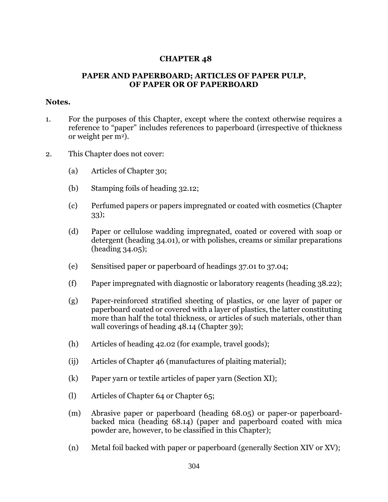## **CHAPTER 48**

## **PAPER AND PAPERBOARD; ARTICLES OF PAPER PULP, OF PAPER OR OF PAPERBOARD**

## **Notes.**

- 1. For the purposes of this Chapter, except where the context otherwise requires a reference to "paper" includes references to paperboard (irrespective of thickness or weight per  $m<sup>2</sup>$ ).
- 2. This Chapter does not cover:
	- (a) Articles of Chapter 30;
	- (b) Stamping foils of heading 32.12;
	- (c) Perfumed papers or papers impregnated or coated with cosmetics (Chapter 33);
	- (d) Paper or cellulose wadding impregnated, coated or covered with soap or detergent (heading 34.01), or with polishes, creams or similar preparations (heading 34.05);
	- (e) Sensitised paper or paperboard of headings 37.01 to 37.04;
	- (f) Paper impregnated with diagnostic or laboratory reagents (heading 38.22);
	- (g) Paper-reinforced stratified sheeting of plastics, or one layer of paper or paperboard coated or covered with a layer of plastics, the latter constituting more than half the total thickness, or articles of such materials, other than wall coverings of heading 48.14 (Chapter 39);
	- (h) Articles of heading 42.02 (for example, travel goods);
	- (ij) Articles of Chapter 46 (manufactures of plaiting material);
	- (k) Paper yarn or textile articles of paper yarn (Section XI);
	- (l) Articles of Chapter 64 or Chapter 65;
	- (m) Abrasive paper or paperboard (heading 68.05) or paper-or paperboardbacked mica (heading 68.14) (paper and paperboard coated with mica powder are, however, to be classified in this Chapter);
	- (n) Metal foil backed with paper or paperboard (generally Section XIV or XV);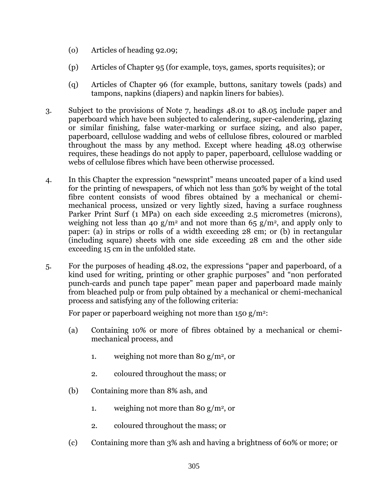- (o) Articles of heading 92.09;
- (p) Articles of Chapter 95 (for example, toys, games, sports requisites); or
- (q) Articles of Chapter 96 (for example, buttons, sanitary towels (pads) and tampons, napkins (diapers) and napkin liners for babies).
- 3. Subject to the provisions of Note 7, headings 48.01 to 48.05 include paper and paperboard which have been subjected to calendering, super-calendering, glazing or similar finishing, false water-marking or surface sizing, and also paper, paperboard, cellulose wadding and webs of cellulose fibres, coloured or marbled throughout the mass by any method. Except where heading 48.03 otherwise requires, these headings do not apply to paper, paperboard, cellulose wadding or webs of cellulose fibres which have been otherwise processed.
- 4. In this Chapter the expression "newsprint" means uncoated paper of a kind used for the printing of newspapers, of which not less than 50% by weight of the total fibre content consists of wood fibres obtained by a mechanical or chemimechanical process, unsized or very lightly sized, having a surface roughness Parker Print Surf (1 MPa) on each side exceeding 2.5 micrometres (microns), weighing not less than 40 g/m<sup>2</sup> and not more than 65 g/m<sup>2</sup>, and apply only to paper: (a) in strips or rolls of a width exceeding 28 cm; or (b) in rectangular (including square) sheets with one side exceeding 28 cm and the other side exceeding 15 cm in the unfolded state.
- 5. For the purposes of heading 48.02, the expressions "paper and paperboard, of a kind used for writing, printing or other graphic purposes" and "non perforated punch-cards and punch tape paper" mean paper and paperboard made mainly from bleached pulp or from pulp obtained by a mechanical or chemi-mechanical process and satisfying any of the following criteria:

For paper or paperboard weighing not more than  $150 \text{ g/m}^2$ :

- (a) Containing 10% or more of fibres obtained by a mechanical or chemimechanical process, and
	- 1. weighing not more than 80 g/m<sup>2</sup>, or
	- 2. coloured throughout the mass; or
- (b) Containing more than 8% ash, and
	- 1. weighing not more than 80 g/m<sup>2</sup>, or
	- 2. coloured throughout the mass; or
- (c) Containing more than 3% ash and having a brightness of 60% or more; or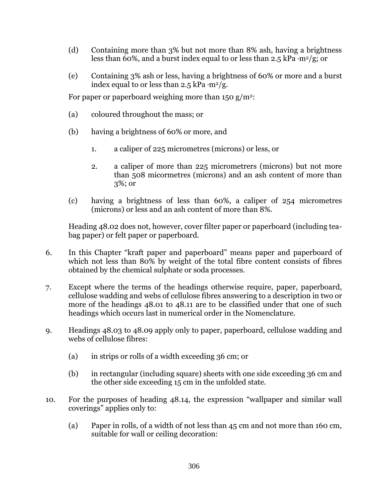- (d) Containing more than 3% but not more than 8% ash, having a brightness less than 60%, and a burst index equal to or less than 2.5 kPa **.**m2/g; or
- (e) Containing 3% ash or less, having a brightness of 60% or more and a burst index equal to or less than  $2.5$  kPa  $\cdot$ m<sup>2</sup>/g.

For paper or paperboard weighing more than  $150 \frac{\text{g}}{\text{m}^2}$ :

- (a) coloured throughout the mass; or
- (b) having a brightness of 60% or more, and
	- 1. a caliper of 225 micrometres (microns) or less, or
	- 2. a caliper of more than 225 micrometrers (microns) but not more than 508 micormetres (microns) and an ash content of more than 3%; or
- (c) having a brightness of less than 60%, a caliper of 254 micrometres (microns) or less and an ash content of more than 8%.

Heading 48.02 does not, however, cover filter paper or paperboard (including teabag paper) or felt paper or paperboard.

- 6. In this Chapter "kraft paper and paperboard" means paper and paperboard of which not less than 80% by weight of the total fibre content consists of fibres obtained by the chemical sulphate or soda processes.
- 7. Except where the terms of the headings otherwise require, paper, paperboard, cellulose wadding and webs of cellulose fibres answering to a description in two or more of the headings 48.01 to 48.11 are to be classified under that one of such headings which occurs last in numerical order in the Nomenclature.
- 9. Headings 48.03 to 48.09 apply only to paper, paperboard, cellulose wadding and webs of cellulose fibres:
	- (a) in strips or rolls of a width exceeding 36 cm; or
	- (b) in rectangular (including square) sheets with one side exceeding 36 cm and the other side exceeding 15 cm in the unfolded state.
- 10. For the purposes of heading 48.14, the expression "wallpaper and similar wall coverings" applies only to:
	- (a) Paper in rolls, of a width of not less than 45 cm and not more than 160 cm, suitable for wall or ceiling decoration: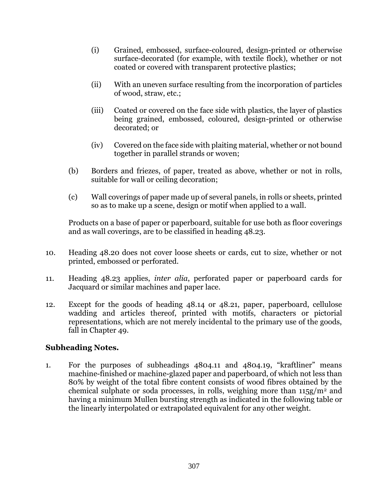- (i) Grained, embossed, surface-coloured, design-printed or otherwise surface-decorated (for example, with textile flock), whether or not coated or covered with transparent protective plastics;
- (ii) With an uneven surface resulting from the incorporation of particles of wood, straw, etc.;
- (iii) Coated or covered on the face side with plastics, the layer of plastics being grained, embossed, coloured, design-printed or otherwise decorated; or
- (iv) Covered on the face side with plaiting material, whether or not bound together in parallel strands or woven;
- (b) Borders and friezes, of paper, treated as above, whether or not in rolls, suitable for wall or ceiling decoration;
- (c) Wall coverings of paper made up of several panels, in rolls or sheets, printed so as to make up a scene, design or motif when applied to a wall.

Products on a base of paper or paperboard, suitable for use both as floor coverings and as wall coverings, are to be classified in heading 48.23.

- 10. Heading 48.20 does not cover loose sheets or cards, cut to size, whether or not printed, embossed or perforated.
- 11. Heading 48.23 applies, *inter alia*, perforated paper or paperboard cards for Jacquard or similar machines and paper lace.
- 12. Except for the goods of heading 48.14 or 48.21, paper, paperboard, cellulose wadding and articles thereof, printed with motifs, characters or pictorial representations, which are not merely incidental to the primary use of the goods, fall in Chapter 49.

## **Subheading Notes.**

1. For the purposes of subheadings 4804.11 and 4804.19, "kraftliner" means machine-finished or machine-glazed paper and paperboard, of which not less than 80% by weight of the total fibre content consists of wood fibres obtained by the chemical sulphate or soda processes, in rolls, weighing more than  $115g/m^2$  and having a minimum Mullen bursting strength as indicated in the following table or the linearly interpolated or extrapolated equivalent for any other weight.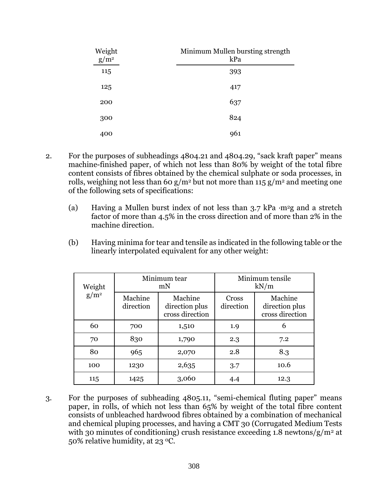| Weight<br>$g/m^2$ | Minimum Mullen bursting strength<br>kPa |
|-------------------|-----------------------------------------|
| 115               | 393                                     |
| 125               | 417                                     |
| 200               | 637                                     |
| 300               | 824                                     |
| 400               | 961                                     |

- 2. For the purposes of subheadings 4804.21 and 4804.29, "sack kraft paper" means machine-finished paper, of which not less than 80% by weight of the total fibre content consists of fibres obtained by the chemical sulphate or soda processes, in rolls, weighing not less than 60 g/m<sup>2</sup> but not more than 115 g/m<sup>2</sup> and meeting one of the following sets of specifications:
	- (a) Having a Mullen burst index of not less than 3.7 kPa **.**m2g and a stretch factor of more than 4.5% in the cross direction and of more than 2% in the machine direction.
	- (b) Having minima for tear and tensile as indicated in the following table or the linearly interpolated equivalent for any other weight:

| Weight<br>$g/m^2$ |                      | Minimum tear<br>mN                           | Minimum tensile<br>kN/m |                                              |  |
|-------------------|----------------------|----------------------------------------------|-------------------------|----------------------------------------------|--|
|                   | Machine<br>direction | Machine<br>direction plus<br>cross direction | Cross<br>direction      | Machine<br>direction plus<br>cross direction |  |
| 60                | 700                  | 1,510                                        | 1.9                     | 6                                            |  |
| 70                | 830                  | 1,790                                        | 2.3                     | 7.2                                          |  |
| 80                | 965                  | 2,070                                        | 2.8                     | 8.3                                          |  |
| 100               | 1230                 | 2,635                                        | 3.7                     | 10.6                                         |  |
| 115               | 1425                 | 3,060                                        | 4.4                     | 12.3                                         |  |

3. For the purposes of subheading 4805.11, "semi-chemical fluting paper" means paper, in rolls, of which not less than 65% by weight of the total fibre content consists of unbleached hardwood fibres obtained by a combination of mechanical and chemical pluping processes, and having a CMT 30 (Corrugated Medium Tests with 30 minutes of conditioning) crush resistance exceeding 1.8 newtons/ $g/m^2$  at 50% relative humidity, at 23 0C.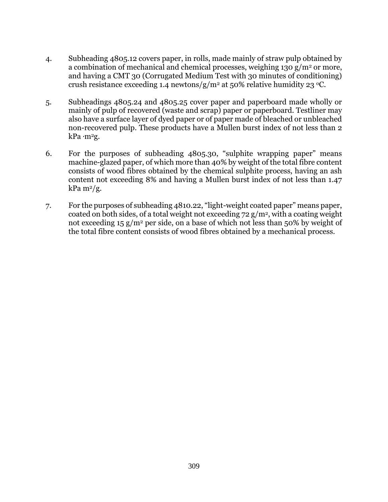- 4. Subheading 4805.12 covers paper, in rolls, made mainly of straw pulp obtained by a combination of mechanical and chemical processes, weighing  $130 \text{ g/m}^2$  or more, and having a CMT 30 (Corrugated Medium Test with 30 minutes of conditioning) crush resistance exceeding 1.4 newtons/g/m<sup>2</sup> at 50% relative humidity 23 °C.
- 5. Subheadings 4805.24 and 4805.25 cover paper and paperboard made wholly or mainly of pulp of recovered (waste and scrap) paper or paperboard. Testliner may also have a surface layer of dyed paper or of paper made of bleached or unbleached non-recovered pulp. These products have a Mullen burst index of not less than 2 kPa **.**m2g.
- 6. For the purposes of subheading 4805.30, "sulphite wrapping paper" means machine-glazed paper, of which more than 40% by weight of the total fibre content consists of wood fibres obtained by the chemical sulphite process, having an ash content not exceeding 8% and having a Mullen burst index of not less than 1.47  $kPa$  m<sup>2</sup>/g.
- 7. For the purposes of subheading 4810.22, "light-weight coated paper" means paper, coated on both sides, of a total weight not exceeding  $72 \frac{g}{m^2}$ , with a coating weight not exceeding  $15 \text{ g/m}^2$  per side, on a base of which not less than 50% by weight of the total fibre content consists of wood fibres obtained by a mechanical process.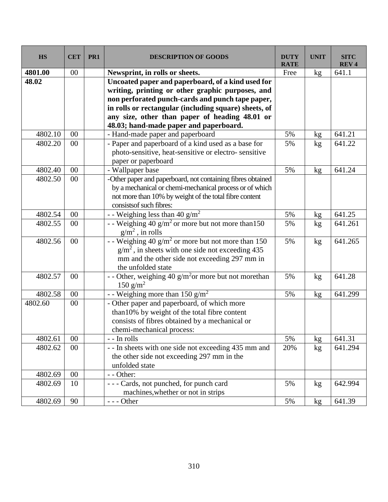| <b>HS</b> | <b>CET</b> | PR <sub>1</sub> | <b>DESCRIPTION OF GOODS</b>                                      | <b>DUTY</b><br><b>RATE</b> | <b>UNIT</b>     | <b>SITC</b><br><b>REV4</b> |
|-----------|------------|-----------------|------------------------------------------------------------------|----------------------------|-----------------|----------------------------|
| 4801.00   | 00         |                 | Newsprint, in rolls or sheets.                                   | Free                       | kg              | 641.1                      |
| 48.02     |            |                 | Uncoated paper and paperboard, of a kind used for                |                            |                 |                            |
|           |            |                 | writing, printing or other graphic purposes, and                 |                            |                 |                            |
|           |            |                 | non perforated punch-cards and punch tape paper,                 |                            |                 |                            |
|           |            |                 | in rolls or rectangular (including square) sheets, of            |                            |                 |                            |
|           |            |                 | any size, other than paper of heading 48.01 or                   |                            |                 |                            |
|           |            |                 | 48.03; hand-made paper and paperboard.                           |                            |                 |                            |
| 4802.10   | 00         |                 | - Hand-made paper and paperboard                                 | 5%                         | kg              | 641.21                     |
| 4802.20   | 00         |                 | - Paper and paperboard of a kind used as a base for              | 5%                         | kg              | 641.22                     |
|           |            |                 | photo-sensitive, heat-sensitive or electro-sensitive             |                            |                 |                            |
|           |            |                 | paper or paperboard                                              |                            |                 |                            |
| 4802.40   | 00         |                 | - Wallpaper base                                                 | 5%                         | kg              | 641.24                     |
| 4802.50   | 00         |                 | -Other paper and paperboard, not containing fibres obtained      |                            |                 |                            |
|           |            |                 | by a mechanical or chemi-mechanical process or of which          |                            |                 |                            |
|           |            |                 | not more than 10% by weight of the total fibre content           |                            |                 |                            |
|           |            |                 | consists of such fibres:                                         |                            |                 |                            |
| 4802.54   | $00\,$     |                 | - - Weighing less than 40 g/m <sup>2</sup>                       | 5%                         | kg              | 641.25                     |
| 4802.55   | 00         |                 | - Weighing $40 \frac{g}{m^2}$ or more but not more than 150      | 5%                         | kg              | 641.261                    |
|           |            |                 | $g/m^2$ , in rolls                                               |                            |                 |                            |
| 4802.56   | 00         |                 | - - Weighing 40 $g/m^2$ or more but not more than 150            | 5%                         | kg              | 641.265                    |
|           |            |                 | $g/m2$ , in sheets with one side not exceeding 435               |                            |                 |                            |
|           |            |                 | mm and the other side not exceeding 297 mm in                    |                            |                 |                            |
|           |            |                 | the unfolded state                                               |                            |                 |                            |
| 4802.57   | 00         |                 | - - Other, weighing 40 g/m <sup>2</sup> or more but not morethan | 5%                         | kg              | 641.28                     |
|           |            |                 | $150 \text{ g/m}^2$                                              |                            |                 |                            |
| 4802.58   | 00         |                 | - - Weighing more than 150 $g/m^2$                               | 5%                         | kg              | 641.299                    |
| 4802.60   | 00         |                 | - Other paper and paperboard, of which more                      |                            |                 |                            |
|           |            |                 | than 10% by weight of the total fibre content                    |                            |                 |                            |
|           |            |                 | consists of fibres obtained by a mechanical or                   |                            |                 |                            |
|           |            |                 | chemi-mechanical process:                                        |                            |                 |                            |
| 4802.61   | $00\,$     |                 | - - In rolls                                                     | 5%                         | kg              | 641.31                     |
| 4802.62   | $00\,$     |                 | - - In sheets with one side not exceeding 435 mm and             | 20%                        | kg              | 641.294                    |
|           |            |                 | the other side not exceeding 297 mm in the                       |                            |                 |                            |
|           |            |                 | unfolded state                                                   |                            |                 |                            |
| 4802.69   | $00\,$     |                 | - - Other:                                                       |                            |                 |                            |
| 4802.69   | 10         |                 | --- Cards, not punched, for punch card                           | 5%                         | kg              | 642.994                    |
|           |            |                 | machines, whether or not in strips                               |                            |                 |                            |
| 4802.69   | 90         |                 | $--$ Other                                                       | 5%                         | kg <sub>2</sub> | 641.39                     |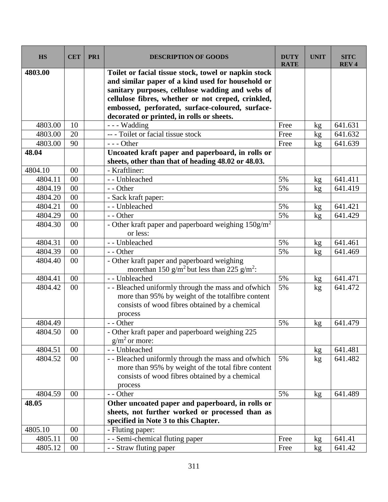| <b>HS</b> | <b>CET</b> | PR <sub>1</sub> | <b>DESCRIPTION OF GOODS</b>                                                                                                                                                                                                                                                                                          | <b>DUTY</b><br><b>RATE</b> | <b>UNIT</b> | <b>SITC</b><br><b>REV4</b> |
|-----------|------------|-----------------|----------------------------------------------------------------------------------------------------------------------------------------------------------------------------------------------------------------------------------------------------------------------------------------------------------------------|----------------------------|-------------|----------------------------|
| 4803.00   |            |                 | Toilet or facial tissue stock, towel or napkin stock<br>and similar paper of a kind used for household or<br>sanitary purposes, cellulose wadding and webs of<br>cellulose fibres, whether or not creped, crinkled,<br>embossed, perforated, surface-coloured, surface-<br>decorated or printed, in rolls or sheets. |                            |             |                            |
| 4803.00   | 10         |                 | --- Wadding                                                                                                                                                                                                                                                                                                          | Free                       | kg          | 641.631                    |
| 4803.00   | 20         |                 | --- Toilet or facial tissue stock                                                                                                                                                                                                                                                                                    | Free                       | kg          | 641.632                    |
| 4803.00   | 90         |                 | $--$ Other                                                                                                                                                                                                                                                                                                           | Free                       | kg          | 641.639                    |
| 48.04     |            |                 | Uncoated kraft paper and paperboard, in rolls or<br>sheets, other than that of heading 48.02 or 48.03.                                                                                                                                                                                                               |                            |             |                            |
| 4804.10   | 00         |                 | - Kraftliner:                                                                                                                                                                                                                                                                                                        |                            |             |                            |
| 4804.11   | 00         |                 | - - Unbleached                                                                                                                                                                                                                                                                                                       | 5%                         | kg          | 641.411                    |
| 4804.19   | 00         |                 | - - Other                                                                                                                                                                                                                                                                                                            | 5%                         | kg          | 641.419                    |
| 4804.20   | 00         |                 | - Sack kraft paper:                                                                                                                                                                                                                                                                                                  |                            |             |                            |
| 4804.21   | 00         |                 | - - Unbleached                                                                                                                                                                                                                                                                                                       | 5%                         | kg          | 641.421                    |
| 4804.29   | 00         |                 | - - Other                                                                                                                                                                                                                                                                                                            | 5%                         | kg          | 641.429                    |
| 4804.30   | 00         |                 | - Other kraft paper and paperboard weighing $150g/m^2$<br>or less:                                                                                                                                                                                                                                                   |                            |             |                            |
| 4804.31   | 00         |                 | -- Unbleached                                                                                                                                                                                                                                                                                                        | 5%                         | kg          | 641.461                    |
| 4804.39   | 00         |                 | - - Other                                                                                                                                                                                                                                                                                                            | 5%                         | kg          | 641.469                    |
| 4804.40   | 00         |                 | - Other kraft paper and paperboard weighing<br>more than 150 g/m <sup>2</sup> but less than 225 g/m <sup>2</sup> :                                                                                                                                                                                                   |                            |             |                            |
| 4804.41   | 00         |                 | - - Unbleached                                                                                                                                                                                                                                                                                                       | 5%                         | kg          | 641.471                    |
| 4804.42   | 00         |                 | - - Bleached uniformly through the mass and of which<br>more than 95% by weight of the totalfibre content<br>consists of wood fibres obtained by a chemical<br>process                                                                                                                                               | 5%                         | kg          | 641.472                    |
| 4804.49   |            |                 | - - Other                                                                                                                                                                                                                                                                                                            | 5%                         | kg          | 641.479                    |
| 4804.50   | $00\,$     |                 | - Other kraft paper and paperboard weighing 225<br>$g/m2$ or more:                                                                                                                                                                                                                                                   |                            |             |                            |
| 4804.51   | 00         |                 | - - Unbleached                                                                                                                                                                                                                                                                                                       |                            | kg          | 641.481                    |
| 4804.52   | $00\,$     |                 | - - Bleached uniformly through the mass and of which<br>more than 95% by weight of the total fibre content<br>consists of wood fibres obtained by a chemical<br>process                                                                                                                                              | 5%                         | kg          | 641.482                    |
| 4804.59   | 00         |                 | - - Other                                                                                                                                                                                                                                                                                                            | 5%                         | kg          | 641.489                    |
| 48.05     |            |                 | Other uncoated paper and paperboard, in rolls or<br>sheets, not further worked or processed than as<br>specified in Note 3 to this Chapter.                                                                                                                                                                          |                            |             |                            |
| 4805.10   | 00         |                 | - Fluting paper:                                                                                                                                                                                                                                                                                                     |                            |             |                            |
| 4805.11   | $00\,$     |                 | - - Semi-chemical fluting paper                                                                                                                                                                                                                                                                                      | Free                       | kg          | 641.41                     |
| 4805.12   | $00\,$     |                 | - - Straw fluting paper                                                                                                                                                                                                                                                                                              | Free                       | kg          | 641.42                     |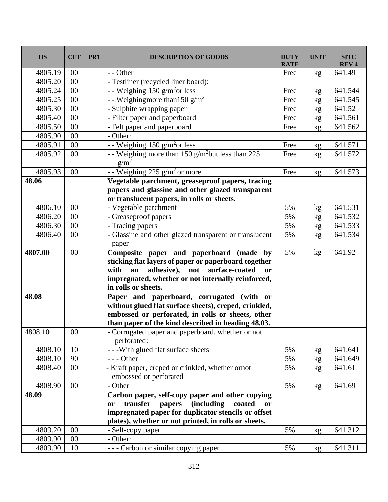| <b>HS</b> | <b>CET</b> | PR1 | <b>DESCRIPTION OF GOODS</b>                                                                                                                                                                                                              | <b>DUTY</b><br><b>RATE</b> | <b>UNIT</b>     | <b>SITC</b><br><b>REV4</b> |
|-----------|------------|-----|------------------------------------------------------------------------------------------------------------------------------------------------------------------------------------------------------------------------------------------|----------------------------|-----------------|----------------------------|
| 4805.19   | $00\,$     |     | - - Other                                                                                                                                                                                                                                | Free                       | kg              | 641.49                     |
| 4805.20   | 00         |     | - Testliner (recycled liner board):                                                                                                                                                                                                      |                            |                 |                            |
| 4805.24   | 00         |     | - - Weighing $150$ g/m <sup>2</sup> or less                                                                                                                                                                                              | Free                       | kg              | 641.544                    |
| 4805.25   | $00\,$     |     | - - Weighingmore than $150 \frac{\text{g}}{\text{m}^2}$                                                                                                                                                                                  | Free                       | kg              | 641.545                    |
| 4805.30   | $00\,$     |     | - Sulphite wrapping paper                                                                                                                                                                                                                | Free                       | kg              | 641.52                     |
| 4805.40   | 00         |     | - Filter paper and paperboard                                                                                                                                                                                                            | Free                       | kg              | 641.561                    |
| 4805.50   | 00         |     | - Felt paper and paperboard                                                                                                                                                                                                              | Free                       | kg              | 641.562                    |
| 4805.90   | 00         |     | - Other:                                                                                                                                                                                                                                 |                            |                 |                            |
| 4805.91   | $00\,$     |     | - - Weighing 150 g/m <sup>2</sup> or less                                                                                                                                                                                                | Free                       | kg              | 641.571                    |
| 4805.92   | 00         |     | - - Weighing more than 150 g/m <sup>2</sup> but less than 225<br>$g/m^2$                                                                                                                                                                 | Free                       | kg              | 641.572                    |
| 4805.93   | 00         |     | - - Weighing 225 $g/m2$ or more                                                                                                                                                                                                          | Free                       | kg              | 641.573                    |
| 48.06     |            |     | Vegetable parchment, greaseproof papers, tracing                                                                                                                                                                                         |                            |                 |                            |
|           |            |     | papers and glassine and other glazed transparent                                                                                                                                                                                         |                            |                 |                            |
|           |            |     | or translucent papers, in rolls or sheets.                                                                                                                                                                                               |                            |                 |                            |
| 4806.10   | 00         |     | - Vegetable parchment                                                                                                                                                                                                                    | 5%                         | kg              | 641.531                    |
| 4806.20   | 00         |     | - Greaseproof papers                                                                                                                                                                                                                     | 5%                         | kg              | 641.532                    |
| 4806.30   | 00         |     | - Tracing papers                                                                                                                                                                                                                         | 5%                         | kg              | 641.533                    |
| 4806.40   | 00         |     | - Glassine and other glazed transparent or translucent<br>paper                                                                                                                                                                          | 5%                         | kg              | 641.534                    |
| 4807.00   | 00         |     | Composite paper and paperboard (made by<br>sticking flat layers of paper or paperboard together<br>adhesive), not surface-coated<br>with<br>an<br><b>or</b><br>impregnated, whether or not internally reinforced,<br>in rolls or sheets. | 5%                         | kg              | 641.92                     |
| 48.08     |            |     | Paper and paperboard, corrugated (with or<br>without glued flat surface sheets), creped, crinkled,<br>embossed or perforated, in rolls or sheets, other<br>than paper of the kind described in heading 48.03.                            |                            |                 |                            |
| 4808.10   | $00\,$     |     | - Corrugated paper and paperboard, whether or not<br>perforated:                                                                                                                                                                         |                            |                 |                            |
| 4808.10   | 10         |     | - - - With glued flat surface sheets                                                                                                                                                                                                     | 5%                         | kg              | 641.641                    |
| 4808.10   | 90         |     | $--$ Other                                                                                                                                                                                                                               | 5%                         | kg              | 641.649                    |
| 4808.40   | 00         |     | - Kraft paper, creped or crinkled, whether ornot<br>embossed or perforated                                                                                                                                                               | 5%                         | kg              | 641.61                     |
| 4808.90   | 00         |     | - Other                                                                                                                                                                                                                                  | 5%                         | kg <sub>2</sub> | 641.69                     |
| 48.09     |            |     | Carbon paper, self-copy paper and other copying<br>transfer<br><i>(including)</i><br>coated<br>papers<br><b>or</b><br>or<br>impregnated paper for duplicator stencils or offset<br>plates), whether or not printed, in rolls or sheets.  |                            |                 |                            |
| 4809.20   | 00         |     | - Self-copy paper                                                                                                                                                                                                                        | 5%                         | kg <sub>2</sub> | 641.312                    |
| 4809.90   | 00         |     | - Other:                                                                                                                                                                                                                                 |                            |                 |                            |
| 4809.90   | 10         |     | - - - Carbon or similar copying paper                                                                                                                                                                                                    | 5%                         | kg              | 641.311                    |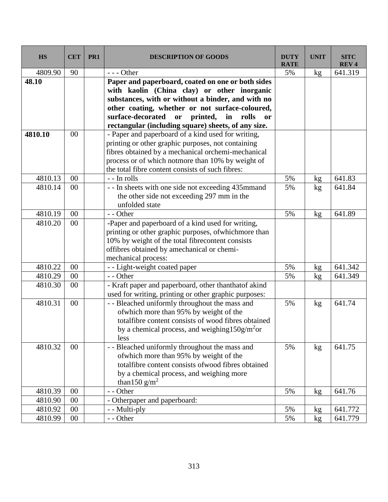| <b>HS</b> | <b>CET</b> | PR1 | <b>DESCRIPTION OF GOODS</b>                                                | DUTY<br><b>RATE</b> | <b>UNIT</b> | <b>SITC</b><br><b>REV4</b> |
|-----------|------------|-----|----------------------------------------------------------------------------|---------------------|-------------|----------------------------|
| 4809.90   | 90         |     | $--$ Other                                                                 | 5%                  | kg          | 641.319                    |
| 48.10     |            |     | Paper and paperboard, coated on one or both sides                          |                     |             |                            |
|           |            |     | with kaolin (China clay) or other inorganic                                |                     |             |                            |
|           |            |     | substances, with or without a binder, and with no                          |                     |             |                            |
|           |            |     | other coating, whether or not surface-coloured,                            |                     |             |                            |
|           |            |     | printed,<br>surface-decorated<br>$\mathbf{in}$<br>or<br>rolls<br><b>or</b> |                     |             |                            |
|           |            |     | rectangular (including square) sheets, of any size.                        |                     |             |                            |
| 4810.10   | 00         |     | - Paper and paperboard of a kind used for writing,                         |                     |             |                            |
|           |            |     | printing or other graphic purposes, not containing                         |                     |             |                            |
|           |            |     | fibres obtained by a mechanical orchemi-mechanical                         |                     |             |                            |
|           |            |     | process or of which notmore than 10% by weight of                          |                     |             |                            |
|           |            |     | the total fibre content consists of such fibres:                           |                     |             |                            |
| 4810.13   | 00         |     | - - In rolls                                                               | 5%                  | kg          | 641.83                     |
| 4810.14   | 00         |     | - - In sheets with one side not exceeding 435mmand                         | 5%                  | kg          | 641.84                     |
|           |            |     | the other side not exceeding 297 mm in the                                 |                     |             |                            |
|           |            |     | unfolded state                                                             |                     |             |                            |
| 4810.19   | $00\,$     |     | - - Other                                                                  | 5%                  | kg          | 641.89                     |
| 4810.20   | 00         |     | -Paper and paperboard of a kind used for writing,                          |                     |             |                            |
|           |            |     | printing or other graphic purposes, of which more than                     |                     |             |                            |
|           |            |     | 10% by weight of the total fibrecontent consists                           |                     |             |                            |
|           |            |     | offibres obtained by amechanical or chemi-                                 |                     |             |                            |
|           |            |     | mechanical process:                                                        |                     |             |                            |
| 4810.22   | 00         |     | - - Light-weight coated paper                                              | 5%                  | kg          | 641.342                    |
| 4810.29   | 00         |     | - - Other                                                                  | 5%                  | kg          | 641.349                    |
| 4810.30   | 00         |     | - Kraft paper and paperboard, other thanthatof akind                       |                     |             |                            |
|           |            |     | used for writing, printing or other graphic purposes:                      |                     |             |                            |
| 4810.31   | 00         |     | - - Bleached uniformly throughout the mass and                             | 5%                  | kg          | 641.74                     |
|           |            |     | of which more than 95% by weight of the                                    |                     |             |                            |
|           |            |     | totalfibre content consists of wood fibres obtained                        |                     |             |                            |
|           |            |     | by a chemical process, and weighing $150g/m2$ or                           |                     |             |                            |
|           |            |     | less                                                                       |                     |             |                            |
| 4810.32   | $00\,$     |     | - - Bleached uniformly throughout the mass and                             | 5%                  | kg          | 641.75                     |
|           |            |     | of which more than 95% by weight of the                                    |                     |             |                            |
|           |            |     | totalfibre content consists of wood fibres obtained                        |                     |             |                            |
|           |            |     | by a chemical process, and weighing more                                   |                     |             |                            |
|           |            |     | than 150 $g/m^2$                                                           |                     |             |                            |
| 4810.39   | 00         |     | - - Other                                                                  | 5%                  | kg          | 641.76                     |
| 4810.90   | 00         |     | - Otherpaper and paperboard:                                               |                     |             |                            |
| 4810.92   | $00\,$     |     | - - Multi-ply                                                              | 5%                  | kg          | 641.772                    |
| 4810.99   | $00\,$     |     | - - Other                                                                  | 5%                  | kg          | 641.779                    |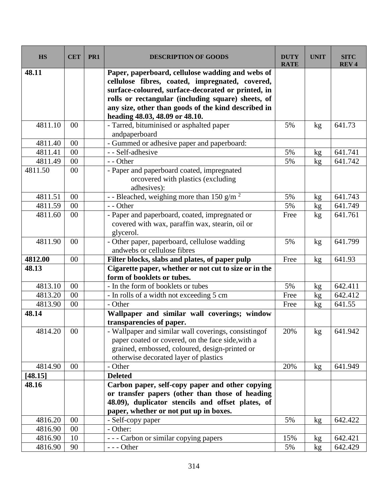| <b>HS</b> | <b>CET</b> | PR1 | <b>DESCRIPTION OF GOODS</b>                                                                                                                                                                                                                                                                              | <b>DUTY</b><br><b>RATE</b> | <b>UNIT</b>     | <b>SITC</b><br><b>REV4</b> |
|-----------|------------|-----|----------------------------------------------------------------------------------------------------------------------------------------------------------------------------------------------------------------------------------------------------------------------------------------------------------|----------------------------|-----------------|----------------------------|
| 48.11     |            |     | Paper, paperboard, cellulose wadding and webs of<br>cellulose fibres, coated, impregnated, covered,<br>surface-coloured, surface-decorated or printed, in<br>rolls or rectangular (including square) sheets, of<br>any size, other than goods of the kind described in<br>heading 48.03, 48.09 or 48.10. |                            |                 |                            |
| 4811.10   | 00         |     | - Tarred, bituminised or asphalted paper<br>andpaperboard                                                                                                                                                                                                                                                | 5%                         | kg              | 641.73                     |
| 4811.40   | 00         |     | - Gummed or adhesive paper and paperboard:                                                                                                                                                                                                                                                               |                            |                 |                            |
| 4811.41   | 00         |     | - - Self-adhesive                                                                                                                                                                                                                                                                                        | 5%                         | kg              | 641.741                    |
| 4811.49   | 00         |     | - - Other                                                                                                                                                                                                                                                                                                | 5%                         | kg              | 641.742                    |
| 4811.50   | 00         |     | - Paper and paperboard coated, impregnated<br>orcovered with plastics (excluding<br>adhesives):                                                                                                                                                                                                          |                            |                 |                            |
| 4811.51   | 00         |     | - - Bleached, weighing more than 150 g/m <sup>2</sup>                                                                                                                                                                                                                                                    | 5%                         | kg              | 641.743                    |
| 4811.59   | $00\,$     |     | - - Other                                                                                                                                                                                                                                                                                                | 5%                         | kg              | 641.749                    |
| 4811.60   | 00         |     | - Paper and paperboard, coated, impregnated or<br>covered with wax, paraffin wax, stearin, oil or<br>glycerol.                                                                                                                                                                                           | Free                       | kg              | 641.761                    |
| 4811.90   | 00         |     | - Other paper, paperboard, cellulose wadding<br>andwebs or cellulose fibres                                                                                                                                                                                                                              | 5%                         | kg              | 641.799                    |
| 4812.00   | 00         |     | Filter blocks, slabs and plates, of paper pulp                                                                                                                                                                                                                                                           | Free                       | kg              | 641.93                     |
| 48.13     |            |     | Cigarette paper, whether or not cut to size or in the<br>form of booklets or tubes.                                                                                                                                                                                                                      |                            |                 |                            |
| 4813.10   | 00         |     | - In the form of booklets or tubes                                                                                                                                                                                                                                                                       | 5%                         | kg              | 642.411                    |
| 4813.20   | 00         |     | - In rolls of a width not exceeding 5 cm                                                                                                                                                                                                                                                                 | Free                       | kg              | 642.412                    |
| 4813.90   | 00         |     | - Other                                                                                                                                                                                                                                                                                                  | Free                       | kg              | 641.55                     |
| 48.14     |            |     | Wallpaper and similar wall coverings; window<br>transparencies of paper.                                                                                                                                                                                                                                 |                            |                 |                            |
| 4814.20   | $00\,$     |     | - Wallpaper and similar wall coverings, consisting<br>of<br>paper coated or covered, on the face side, with a<br>grained, embossed, coloured, design-printed or<br>otherwise decorated layer of plastics                                                                                                 | 20%                        | kg              | 641.942                    |
| 4814.90   | $00\,$     |     | - Other                                                                                                                                                                                                                                                                                                  | 20%                        | kg <sub>2</sub> | 641.949                    |
| [48.15]   |            |     | <b>Deleted</b>                                                                                                                                                                                                                                                                                           |                            |                 |                            |
| 48.16     |            |     | Carbon paper, self-copy paper and other copying<br>or transfer papers (other than those of heading<br>48.09), duplicator stencils and offset plates, of<br>paper, whether or not put up in boxes.                                                                                                        |                            |                 |                            |
| 4816.20   | 00         |     | - Self-copy paper                                                                                                                                                                                                                                                                                        | 5%                         | kg <sub>2</sub> | 642.422                    |
| 4816.90   | $00\,$     |     | - Other:                                                                                                                                                                                                                                                                                                 |                            |                 |                            |
| 4816.90   | 10         |     | - - - Carbon or similar copying papers                                                                                                                                                                                                                                                                   | 15%                        | kg              | 642.421                    |
| 4816.90   | 90         |     | $--$ Other                                                                                                                                                                                                                                                                                               | 5%                         | kg              | 642.429                    |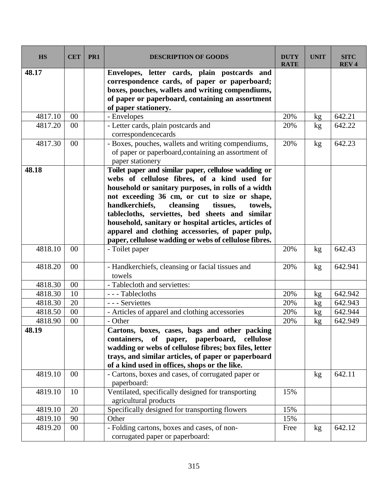| <b>HS</b> | <b>CET</b> | PR <sub>1</sub> | <b>DESCRIPTION OF GOODS</b>                                              | <b>DUTY</b><br><b>RATE</b> | <b>UNIT</b> | <b>SITC</b><br><b>REV4</b> |
|-----------|------------|-----------------|--------------------------------------------------------------------------|----------------------------|-------------|----------------------------|
| 48.17     |            |                 | Envelopes, letter cards, plain postcards and                             |                            |             |                            |
|           |            |                 | correspondence cards, of paper or paperboard;                            |                            |             |                            |
|           |            |                 | boxes, pouches, wallets and writing compendiums,                         |                            |             |                            |
|           |            |                 | of paper or paperboard, containing an assortment                         |                            |             |                            |
|           |            |                 | of paper stationery.                                                     |                            |             |                            |
| 4817.10   | 00         |                 | - Envelopes                                                              | 20%                        | kg          | 642.21                     |
| 4817.20   | 00         |                 | - Letter cards, plain postcards and                                      | 20%                        | kg          | 642.22                     |
|           |            |                 | correspondencecards                                                      |                            |             |                            |
| 4817.30   | 00         |                 | - Boxes, pouches, wallets and writing compendiums,                       | 20%                        | kg          | 642.23                     |
|           |            |                 | of paper or paperboard, containing an assortment of                      |                            |             |                            |
| 48.18     |            |                 | paper stationery<br>Toilet paper and similar paper, cellulose wadding or |                            |             |                            |
|           |            |                 | webs of cellulose fibres, of a kind used for                             |                            |             |                            |
|           |            |                 | household or sanitary purposes, in rolls of a width                      |                            |             |                            |
|           |            |                 | not exceeding 36 cm, or cut to size or shape,                            |                            |             |                            |
|           |            |                 | handkerchiefs,<br>cleansing<br>tissues,<br>towels,                       |                            |             |                            |
|           |            |                 | tablecloths, serviettes, bed sheets and similar                          |                            |             |                            |
|           |            |                 | household, sanitary or hospital articles, articles of                    |                            |             |                            |
|           |            |                 | apparel and clothing accessories, of paper pulp,                         |                            |             |                            |
|           |            |                 | paper, cellulose wadding or webs of cellulose fibres.                    |                            |             |                            |
| 4818.10   | 00         |                 | - Toilet paper                                                           | 20%                        | kg          | 642.43                     |
| 4818.20   | 00         |                 | - Handkerchiefs, cleansing or facial tissues and<br>towels               | 20%                        | kg          | 642.941                    |
| 4818.30   | 00         |                 | - Tablecloth and serviettes:                                             |                            |             |                            |
| 4818.30   | 10         |                 | --- Tablecloths                                                          | 20%                        | kg          | 642.942                    |
| 4818.30   | 20         |                 | - - - Serviettes                                                         | 20%                        | kg          | 642.943                    |
| 4818.50   | 00         |                 | - Articles of apparel and clothing accessories                           | 20%                        | kg          | 642.944                    |
| 4818.90   | 00         |                 | - Other                                                                  | 20%                        | kg          | 642.949                    |
| 48.19     |            |                 | Cartons, boxes, cases, bags and other packing                            |                            |             |                            |
|           |            |                 | paper, paperboard, cellulose<br>containers,<br>of                        |                            |             |                            |
|           |            |                 | wadding or webs of cellulose fibres; box files, letter                   |                            |             |                            |
|           |            |                 | trays, and similar articles, of paper or paperboard                      |                            |             |                            |
|           |            |                 | of a kind used in offices, shops or the like.                            |                            |             |                            |
| 4819.10   | 00         |                 | - Cartons, boxes and cases, of corrugated paper or<br>paperboard:        |                            | kg          | 642.11                     |
| 4819.10   | 10         |                 | Ventilated, specifically designed for transporting                       | 15%                        |             |                            |
|           |            |                 | agricultural products                                                    |                            |             |                            |
| 4819.10   | 20         |                 | Specifically designed for transporting flowers                           | 15%                        |             |                            |
| 4819.10   | 90         |                 | Other                                                                    | 15%                        |             |                            |
| 4819.20   | 00         |                 | - Folding cartons, boxes and cases, of non-                              | Free                       | kg          | 642.12                     |
|           |            |                 | corrugated paper or paperboard:                                          |                            |             |                            |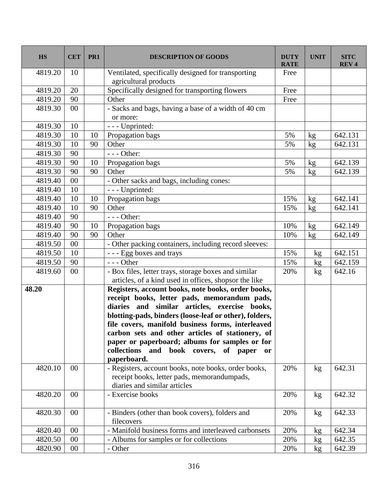| <b>HS</b> | <b>CET</b>      | PR <sub>1</sub> | <b>DESCRIPTION OF GOODS</b>                                                 | <b>DUTY</b><br><b>RATE</b> | <b>UNIT</b> | <b>SITC</b><br><b>REV4</b> |
|-----------|-----------------|-----------------|-----------------------------------------------------------------------------|----------------------------|-------------|----------------------------|
| 4819.20   | 10              |                 | Ventilated, specifically designed for transporting<br>agricultural products | Free                       |             |                            |
| 4819.20   | 20              |                 | Specifically designed for transporting flowers                              | Free                       |             |                            |
| 4819.20   | 90              |                 | Other                                                                       | Free                       |             |                            |
| 4819.30   | 00              |                 | - Sacks and bags, having a base of a width of 40 cm                         |                            |             |                            |
|           |                 |                 | or more:                                                                    |                            |             |                            |
| 4819.30   | 10              |                 | - - - Unprinted:                                                            |                            |             |                            |
| 4819.30   | 10              | 10              | Propagation bags                                                            | 5%                         | kg          | 642.131                    |
| 4819.30   | 10              | 90              | Other                                                                       | 5%                         | kg          | 642.131                    |
| 4819.30   | 90              |                 | $--$ Other:                                                                 |                            |             |                            |
| 4819.30   | 90              | 10              | Propagation bags                                                            | 5%                         | kg          | 642.139                    |
| 4819.30   | 90              | 90              | Other                                                                       | 5%                         | kg          | 642.139                    |
| 4819.40   | 00              |                 | - Other sacks and bags, including cones:                                    |                            |             |                            |
| 4819.40   | 10              |                 | - - - Unprinted:                                                            |                            |             |                            |
| 4819.40   | 10              | 10              | Propagation bags                                                            | 15%                        | kg          | 642.141                    |
| 4819.40   | 10              | 90              | Other                                                                       | 15%                        | kg          | 642.141                    |
| 4819.40   | 90              |                 | $--$ Other:                                                                 |                            |             |                            |
| 4819.40   | 90              | 10              | Propagation bags                                                            | 10%                        | kg          | 642.149                    |
| 4819.40   | 90              | 90              | Other                                                                       | 10%                        | kg          | 642.149                    |
| 4819.50   | $\overline{00}$ |                 | - Other packing containers, including record sleeves:                       |                            |             |                            |
| 4819.50   | 10              |                 | --- Egg boxes and trays                                                     | 15%                        | kg          | 642.151                    |
| 4819.50   | 90              |                 | $--$ Other                                                                  | 15%                        | kg          | 642.159                    |
| 4819.60   | 00              |                 | - Box files, letter trays, storage boxes and similar                        | 20%                        | kg          | 642.16                     |
|           |                 |                 | articles, of a kind used in offices, shopsor the like                       |                            |             |                            |
| 48.20     |                 |                 | Registers, account books, note books, order books,                          |                            |             |                            |
|           |                 |                 | receipt books, letter pads, memorandum pads,                                |                            |             |                            |
|           |                 |                 | diaries and similar articles, exercise books,                               |                            |             |                            |
|           |                 |                 | blotting-pads, binders (loose-leaf or other), folders,                      |                            |             |                            |
|           |                 |                 | file covers, manifold business forms, interleaved                           |                            |             |                            |
|           |                 |                 | carbon sets and other articles of stationery, of                            |                            |             |                            |
|           |                 |                 | paper or paperboard; albums for samples or for                              |                            |             |                            |
|           |                 |                 | collections and book covers, of<br>paper<br><b>or</b>                       |                            |             |                            |
|           |                 |                 | paperboard.                                                                 |                            |             |                            |
| 4820.10   | $00\,$          |                 | - Registers, account books, note books, order books,                        | 20%                        | kg          | 642.31                     |
|           |                 |                 | receipt books, letter pads, memorandumpads,                                 |                            |             |                            |
|           | $00\,$          |                 | diaries and similar articles<br>- Exercise books                            |                            |             | 642.32                     |
| 4820.20   |                 |                 |                                                                             | 20%                        | kg          |                            |
| 4820.30   | 00              |                 | - Binders (other than book covers), folders and<br>filecovers               | 20%                        | kg          | 642.33                     |
| 4820.40   | $00\,$          |                 | - Manifold business forms and interleaved carbonsets                        | 20%                        | kg          | 642.34                     |
| 4820.50   | 00              |                 | - Albums for samples or for collections                                     | 20%                        | kg          | 642.35                     |
| 4820.90   | $00\,$          |                 | - Other                                                                     | 20%                        | kg          | 642.39                     |